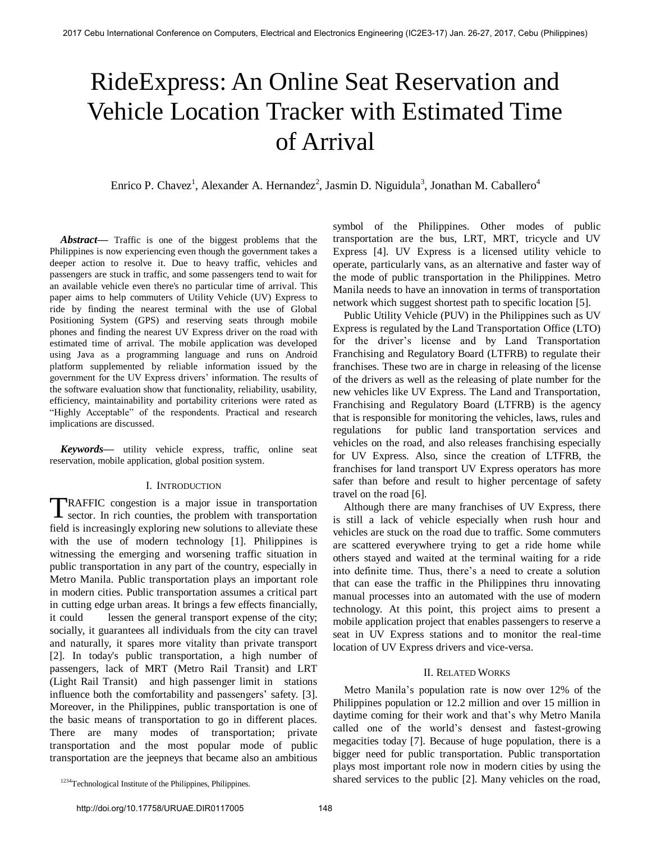# RideExpress: An Online Seat Reservation and Vehicle Location Tracker with Estimated Time of Arrival

Enrico P. Chavez<sup>1</sup>, Alexander A. Hernandez<sup>2</sup>, Jasmin D. Niguidula<sup>3</sup>, Jonathan M. Caballero<sup>4</sup>

*Abstract***—** Traffic is one of the biggest problems that the Philippines is now experiencing even though the government takes a deeper action to resolve it. Due to heavy traffic, vehicles and passengers are stuck in traffic, and some passengers tend to wait for an available vehicle even there's no particular time of arrival. This paper aims to help commuters of Utility Vehicle (UV) Express to ride by finding the nearest terminal with the use of Global Positioning System (GPS) and reserving seats through mobile phones and finding the nearest UV Express driver on the road with estimated time of arrival. The mobile application was developed using Java as a programming language and runs on Android platform supplemented by reliable information issued by the government for the UV Express drivers' information. The results of the software evaluation show that functionality, reliability, usability, efficiency, maintainability and portability criterions were rated as "Highly Acceptable" of the respondents. Practical and research implications are discussed.

*Keywords***—** utility vehicle express, traffic, online seat reservation, mobile application, global position system.

## I. INTRODUCTION

TRAFFIC congestion is a major issue in transportation<br>sector. In rich counties, the problem with transportation sector. In rich counties, the problem with transportation field is increasingly exploring new solutions to alleviate these with the use of modern technology [1]. Philippines is witnessing the emerging and worsening traffic situation in public transportation in any part of the country, especially in Metro Manila. Public transportation plays an important role in modern cities. Public transportation assumes a critical part in cutting edge urban areas. It brings a few effects financially, it could lessen the general transport expense of the city; socially, it guarantees all individuals from the city can travel and naturally, it spares more vitality than private transport [2]. In today's public transportation, a high number of passengers, lack of MRT (Metro Rail Transit) and LRT (Light Rail Transit) and high passenger limit in stations influence both the comfortability and passengers' safety. [3]. Moreover, in the Philippines, public transportation is one of the basic means of transportation to go in different places. There are many modes of transportation; private transportation and the most popular mode of public transportation are the jeepneys that became also an ambitious

symbol of the Philippines. Other modes of public transportation are the bus, LRT, MRT, tricycle and UV Express [4]. UV Express is a licensed utility vehicle to operate, particularly vans, as an alternative and faster way of the mode of public transportation in the Philippines. Metro Manila needs to have an innovation in terms of transportation network which suggest shortest path to specific location [5].

Public Utility Vehicle (PUV) in the Philippines such as UV Express is regulated by the Land Transportation Office (LTO) for the driver"s license and by Land Transportation Franchising and Regulatory Board (LTFRB) to regulate their franchises. These two are in charge in releasing of the license of the drivers as well as the releasing of plate number for the new vehicles like UV Express. The Land and Transportation, Franchising and Regulatory Board (LTFRB) is the agency that is responsible for monitoring the vehicles, laws, rules and regulations for public land transportation services and vehicles on the road, and also releases franchising especially for UV Express. Also, since the creation of LTFRB, the franchises for land transport UV Express operators has more safer than before and result to higher percentage of safety travel on the road [6].

Although there are many franchises of UV Express, there is still a lack of vehicle especially when rush hour and vehicles are stuck on the road due to traffic. Some commuters are scattered everywhere trying to get a ride home while others stayed and waited at the terminal waiting for a ride into definite time. Thus, there"s a need to create a solution that can ease the traffic in the Philippines thru innovating manual processes into an automated with the use of modern technology. At this point, this project aims to present a mobile application project that enables passengers to reserve a seat in UV Express stations and to monitor the real-time location of UV Express drivers and vice-versa.

# II. RELATED WORKS

 Metro Manila"s population rate is now over 12% of the Philippines population or 12.2 million and over 15 million in daytime coming for their work and that's why Metro Manila called one of the world"s densest and fastest-growing megacities today [7]. Because of huge population, there is a bigger need for public transportation. Public transportation plays most important role now in modern cities by using the shared services to the public [2]. Many vehicles on the road,

<sup>&</sup>lt;sup>1234</sup>Technological Institute of the Philippines, Philippines.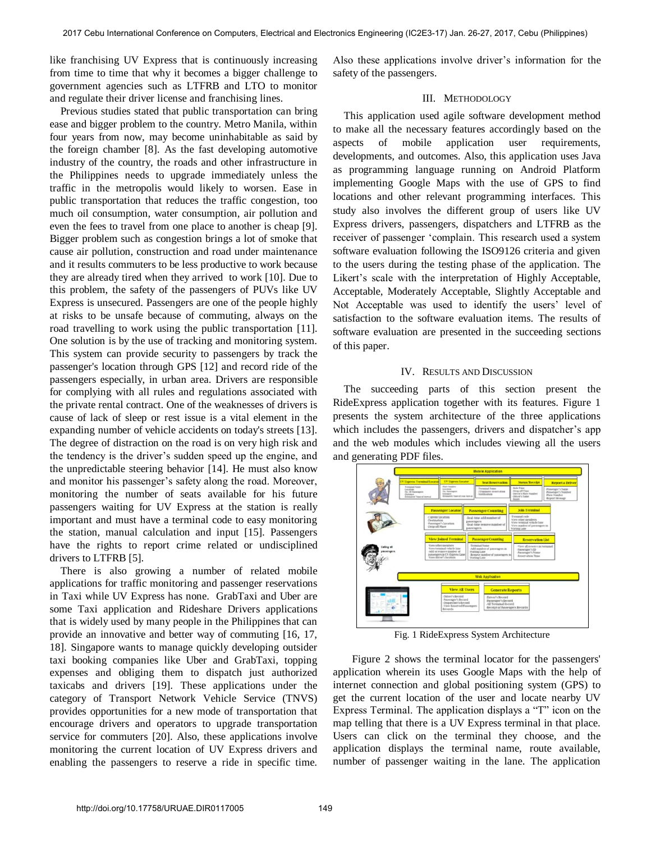like franchising UV Express that is continuously increasing from time to time that why it becomes a bigger challenge to government agencies such as LTFRB and LTO to monitor and regulate their driver license and franchising lines.

Previous studies stated that public transportation can bring ease and bigger problem to the country. Metro Manila, within four years from now, may become uninhabitable as said by the foreign chamber [8]. As the fast developing automotive industry of the country, the roads and other infrastructure in the Philippines needs to upgrade immediately unless the traffic in the metropolis would likely to worsen. Ease in public transportation that reduces the traffic congestion, too much oil consumption, water consumption, air pollution and even the fees to travel from one place to another is cheap [9]. Bigger problem such as congestion brings a lot of smoke that cause air pollution, construction and road under maintenance and it results commuters to be less productive to work because they are already tired when they arrived to work [10]. Due to this problem, the safety of the passengers of PUVs like UV Express is unsecured. Passengers are one of the people highly at risks to be unsafe because of commuting, always on the road travelling to work using the public transportation [11]. One solution is by the use of tracking and monitoring system. This system can provide security to passengers by track the passenger's location through GPS [12] and record ride of the passengers especially, in urban area. Drivers are responsible for complying with all rules and regulations associated with the private rental contract. One of the weaknesses of drivers is cause of lack of sleep or rest issue is a vital element in the expanding number of vehicle accidents on today's streets [13]. The degree of distraction on the road is on very high risk and the tendency is the driver"s sudden speed up the engine, and the unpredictable steering behavior [14]. He must also know and monitor his passenger's safety along the road. Moreover, monitoring the number of seats available for his future passengers waiting for UV Express at the station is really important and must have a terminal code to easy monitoring the station, manual calculation and input [15]. Passengers have the rights to report crime related or undisciplined drivers to LTFRB [5].

There is also growing a number of related mobile applications for traffic monitoring and passenger reservations in Taxi while UV Express has none. GrabTaxi and Uber are some Taxi application and Rideshare Drivers applications that is widely used by many people in the Philippines that can provide an innovative and better way of commuting [16, 17, 18]. Singapore wants to manage quickly developing outsider taxi booking companies like Uber and GrabTaxi, topping expenses and obliging them to dispatch just authorized taxicabs and drivers [19]. These applications under the category of Transport Network Vehicle Service (TNVS) provides opportunities for a new mode of transportation that encourage drivers and operators to upgrade transportation service for commuters [20]. Also, these applications involve monitoring the current location of UV Express drivers and enabling the passengers to reserve a ride in specific time.

Also these applications involve driver"s information for the safety of the passengers.

# III. METHODOLOGY

This application used agile software development method to make all the necessary features accordingly based on the aspects of mobile application user requirements, developments, and outcomes. Also, this application uses Java as programming language running on Android Platform implementing Google Maps with the use of GPS to find locations and other relevant programming interfaces. This study also involves the different group of users like UV Express drivers, passengers, dispatchers and LTFRB as the receiver of passenger "complain. This research used a system software evaluation following the ISO9126 criteria and given to the users during the testing phase of the application. The Likert's scale with the interpretation of Highly Acceptable, Acceptable, Moderately Acceptable, Slightly Acceptable and Not Acceptable was used to identify the users' level of satisfaction to the software evaluation items. The results of software evaluation are presented in the succeeding sections of this paper.

### IV. RESULTS AND DISCUSSION

The succeeding parts of this section present the RideExpress application together with its features. Figure 1 presents the system architecture of the three applications which includes the passengers, drivers and dispatcher's app and the web modules which includes viewing all the users and generating PDF files.



Fig. 1 RideExpress System Architecture

Figure 2 shows the terminal locator for the passengers' application wherein its uses Google Maps with the help of internet connection and global positioning system (GPS) to get the current location of the user and locate nearby UV Express Terminal. The application displays a "T" icon on the map telling that there is a UV Express terminal in that place. Users can click on the terminal they choose, and the application displays the terminal name, route available, number of passenger waiting in the lane. The application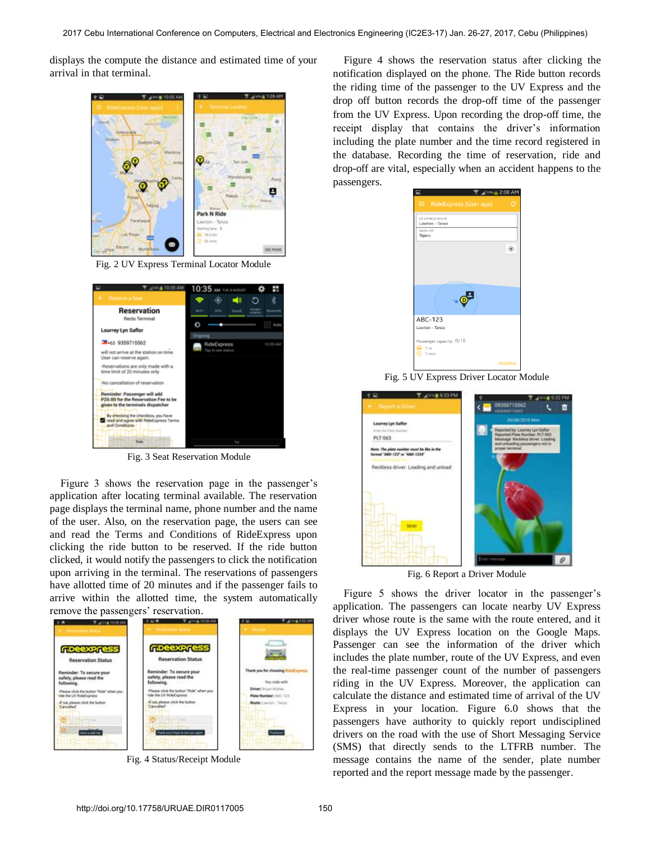displays the compute the distance and estimated time of your arrival in that terminal.



Fig. 2 UV Express Terminal Locator Module



Fig. 3 Seat Reservation Module

Figure 3 shows the reservation page in the passenger's application after locating terminal available. The reservation page displays the terminal name, phone number and the name of the user. Also, on the reservation page, the users can see and read the Terms and Conditions of RideExpress upon clicking the ride button to be reserved. If the ride button clicked, it would notify the passengers to click the notification upon arriving in the terminal. The reservations of passengers have allotted time of 20 minutes and if the passenger fails to arrive within the allotted time, the system automatically remove the passengers' reservation.



Fig. 4 Status/Receipt Module

Figure 4 shows the reservation status after clicking the notification displayed on the phone. The Ride button records the riding time of the passenger to the UV Express and the drop off button records the drop-off time of the passenger from the UV Express. Upon recording the drop-off time, the receipt display that contains the driver"s information including the plate number and the time record registered in the database. Recording the time of reservation, ride and drop-off are vital, especially when an accident happens to the passengers.



Fig. 5 UV Express Driver Locator Module



Fig. 6 Report a Driver Module

Figure 5 shows the driver locator in the passenger's application. The passengers can locate nearby UV Express driver whose route is the same with the route entered, and it displays the UV Express location on the Google Maps. Passenger can see the information of the driver which includes the plate number, route of the UV Express, and even the real-time passenger count of the number of passengers riding in the UV Express. Moreover, the application can calculate the distance and estimated time of arrival of the UV Express in your location. Figure 6.0 shows that the passengers have authority to quickly report undisciplined drivers on the road with the use of Short Messaging Service (SMS) that directly sends to the LTFRB number. The message contains the name of the sender, plate number reported and the report message made by the passenger.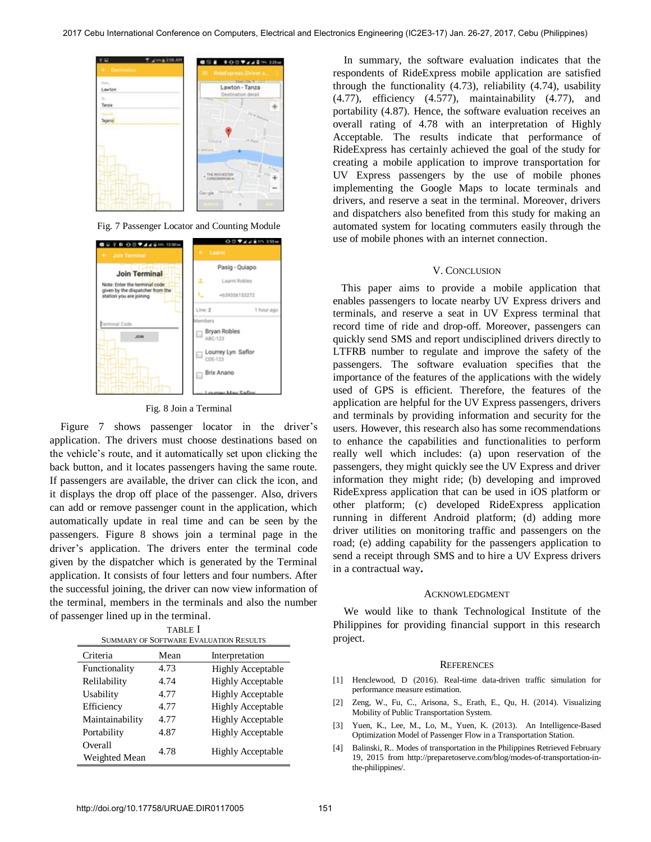

Fig. 7 Passenger Locator and Counting Module



#### Fig. 8 Join a Terminal

Figure 7 shows passenger locator in the driver's application. The drivers must choose destinations based on the vehicle"s route, and it automatically set upon clicking the back button, and it locates passengers having the same route. If passengers are available, the driver can click the icon, and it displays the drop off place of the passenger. Also, drivers can add or remove passenger count in the application, which automatically update in real time and can be seen by the passengers. Figure 8 shows join a terminal page in the driver"s application. The drivers enter the terminal code given by the dispatcher which is generated by the Terminal application. It consists of four letters and four numbers. After the successful joining, the driver can now view information of the terminal, members in the terminals and also the number of passenger lined up in the terminal.

| <b>TABLE</b> I                         |  |
|----------------------------------------|--|
| SUMMARY OF SOFTWARE EVALUATION RESULTS |  |

| Criteria                 | Mean | Interpretation           |
|--------------------------|------|--------------------------|
| Functionality            | 4.73 | <b>Highly Acceptable</b> |
| Relilability             | 4.74 | <b>Highly Acceptable</b> |
| Usability                | 4.77 | <b>Highly Acceptable</b> |
| Efficiency               | 4.77 | <b>Highly Acceptable</b> |
| Maintainability          | 4.77 | <b>Highly Acceptable</b> |
| Portability              | 4.87 | <b>Highly Acceptable</b> |
| Overall<br>Weighted Mean | 4.78 | <b>Highly Acceptable</b> |

In summary, the software evaluation indicates that the respondents of RideExpress mobile application are satisfied through the functionality (4.73), reliability (4.74), usability (4.77), efficiency (4.577), maintainability (4.77), and portability (4.87). Hence, the software evaluation receives an overall rating of 4.78 with an interpretation of Highly Acceptable. The results indicate that performance of RideExpress has certainly achieved the goal of the study for creating a mobile application to improve transportation for UV Express passengers by the use of mobile phones implementing the Google Maps to locate terminals and drivers, and reserve a seat in the terminal. Moreover, drivers and dispatchers also benefited from this study for making an automated system for locating commuters easily through the use of mobile phones with an internet connection.

#### V. CONCLUSION

 This paper aims to provide a mobile application that enables passengers to locate nearby UV Express drivers and terminals, and reserve a seat in UV Express terminal that record time of ride and drop-off. Moreover, passengers can quickly send SMS and report undisciplined drivers directly to LTFRB number to regulate and improve the safety of the passengers. The software evaluation specifies that the importance of the features of the applications with the widely used of GPS is efficient. Therefore, the features of the application are helpful for the UV Express passengers, drivers and terminals by providing information and security for the users. However, this research also has some recommendations to enhance the capabilities and functionalities to perform really well which includes: (a) upon reservation of the passengers, they might quickly see the UV Express and driver information they might ride; (b) developing and improved RideExpress application that can be used in iOS platform or other platform; (c) developed RideExpress application running in different Android platform; (d) adding more driver utilities on monitoring traffic and passengers on the road; (e) adding capability for the passengers application to send a receipt through SMS and to hire a UV Express drivers in a contractual way.

### ACKNOWLEDGMENT

We would like to thank Technological Institute of the Philippines for providing financial support in this research project.

#### **REFERENCES**

- [1] Henclewood, D (2016). Real-time data-driven traffic simulation for performance measure estimation.
- [2] Zeng, W., Fu, C., Arisona, S., Erath, E., Qu, H. (2014). Visualizing Mobility of Public Transportation System.
- [3] Yuen, K., Lee, M., Lo, M., Yuen, K. (2013). An Intelligence-Based Optimization Model of Passenger Flow in a Transportation Station.
- [4] Balinski, R.. Modes of transportation in the Philippines Retrieved February 19, 2015 from [http://preparetoserve.com/blog/modes-of-transportation-in](http://preparetoserve.com/blog/modes-of-transportation-in-the-philippines/)[the-philippines/.](http://preparetoserve.com/blog/modes-of-transportation-in-the-philippines/)